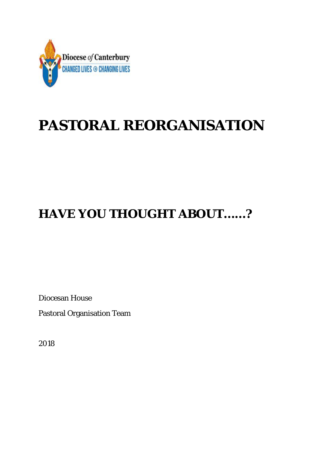

# **PASTORAL REORGANISATION**

## **HAVE YOU THOUGHT ABOUT……?**

Diocesan House

Pastoral Organisation Team

2018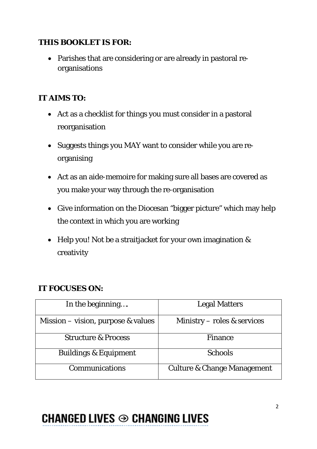### **THIS BOOKLET IS FOR:**

• Parishes that are considering or are already in pastoral reorganisations

### **IT AIMS TO:**

- Act as a checklist for things you must consider in a pastoral reorganisation
- Suggests things you MAY want to consider while you are reorganising
- Act as an aide-memoire for making sure all bases are covered as you make your way through the re-organisation
- Give information on the Diocesan "bigger picture" which may help the context in which you are working
- Help you! Not be a straitjacket for your own imagination & creativity

### **IT FOCUSES ON:**

| In the beginning                     | <b>Legal Matters</b>                   |
|--------------------------------------|----------------------------------------|
| Mission – vision, purpose $&$ values | Ministry – roles $&$ services          |
| <b>Structure &amp; Process</b>       | <b>Finance</b>                         |
| <b>Buildings &amp; Equipment</b>     | <b>Schools</b>                         |
| <b>Communications</b>                | <b>Culture &amp; Change Management</b> |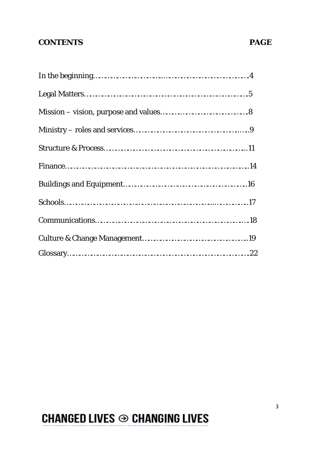### **CONTENTS PAGE**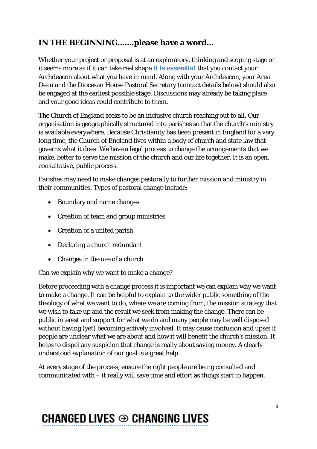### **IN THE BEGINNING…….please have a word…**

Whether your project or proposal is at an exploratory, thinking and scoping stage or it seems more as if it can take real shape **it is essential** that you contact your Archdeacon about what you have in mind. Along with your Archdeacon, your Area Dean and the Diocesan House Pastoral Secretary (contact details below) should also be engaged at the earliest possible stage. Discussions may already be taking place and your good ideas could contribute to them.

The Church of England seeks to be an inclusive church reaching out to all. Our organisation is geographically structured into parishes so that the church's ministry is available everywhere. Because Christianity has been present in England for a very long time, the Church of England lives within a body of church and state law that governs what it does. We have a legal process to change the arrangements that we make, better to serve the mission of the church and our life together. It is an open, consultative, public process.

Parishes may need to make changes pastorally to further mission and ministry in their communities. Types of pastoral change include:

- Boundary and name changes
- Creation of team and group ministries
- Creation of a united parish
- Declaring a church redundant
- Changes in the use of a church

Can we explain why we want to make a change?

Before proceeding with a change process it is important we can explain why we want to make a change. It can be helpful to explain to the wider public something of the theology of what we want to do, where we are coming from, the mission strategy that we wish to take up and the result we seek from making the change. There can be public interest and support for what we do and many people may be well disposed without having (yet) becoming actively involved. It may cause confusion and upset if people are unclear what we are about and how it will benefit the church's mission. It helps to dispel any suspicion that change is really about saving money. A clearly understood explanation of our goal is a great help.

At every stage of the process, ensure the right people are being consulted and communicated with – it really will save time and effort as things start to happen.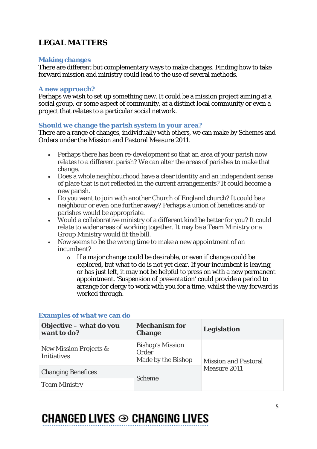### **LEGAL MATTERS**

#### **Making changes**

There are different but complementary ways to make changes. Finding how to take forward mission and ministry could lead to the use of several methods.

#### **A new approach?**

Perhaps we wish to set up something new. It could be a mission project aiming at a social group, or some aspect of community, at a distinct local community or even a project that relates to a particular social network.

#### **Should we change the parish system in your area?**

There are a range of changes, individually with others, we can make by Schemes and Orders under the Mission and Pastoral Measure 2011.

- Perhaps there has been re-development so that an area of your parish now relates to a different parish? We can alter the areas of parishes to make that change.
- Does a whole neighbourhood have a clear identity and an independent sense of place that is not reflected in the current arrangements? It could become a new parish.
- Do you want to join with another Church of England church? It could be a neighbour or even one further away? Perhaps a union of benefices and/or parishes would be appropriate.
- Would a collaborative ministry of a different kind be better for you? It could relate to wider areas of working together. It may be a Team Ministry or a Group Ministry would fit the bill.
- Now seems to be the wrong time to make a new appointment of an incumbent?
	- o If a major change could be desirable, or even if change could be explored, but what to do is not yet clear. If your incumbent is leaving, or has just left, it may not be helpful to press on with a new permanent appointment. 'Suspension of presentation' could provide a period to arrange for clergy to work with you for a time, whilst the way forward is worked through.

| Objective - what do you<br>want to do?                  | <b>Mechanism for</b><br><b>Change</b>                  | <b>Legislation</b>                          |
|---------------------------------------------------------|--------------------------------------------------------|---------------------------------------------|
| <b>New Mission Projects &amp;</b><br><b>Initiatives</b> | <b>Bishop's Mission</b><br>Order<br>Made by the Bishop | <b>Mission and Pastoral</b><br>Measure 2011 |
| <b>Changing Benefices</b>                               | <b>Scheme</b>                                          |                                             |
| <b>Team Ministry</b>                                    |                                                        |                                             |

#### **Examples of what we can do**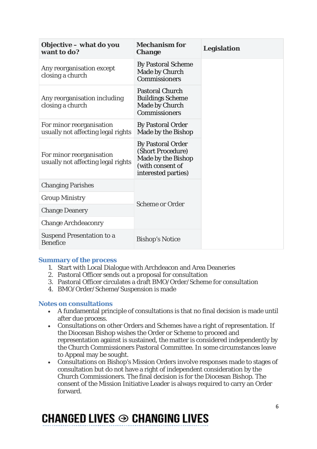| Objective – what do you<br>want to do?                         | <b>Mechanism for</b><br><b>Change</b>                                                                          | <b>Legislation</b> |
|----------------------------------------------------------------|----------------------------------------------------------------------------------------------------------------|--------------------|
| Any reorganisation except<br>closing a church                  | <b>By Pastoral Scheme</b><br>Made by Church<br><b>Commissioners</b>                                            |                    |
| Any reorganisation including<br>closing a church               | <b>Pastoral Church</b><br><b>Buildings Scheme</b><br>Made by Church<br>Commissioners                           |                    |
| For minor reorganisation<br>usually not affecting legal rights | <b>By Pastoral Order</b><br>Made by the Bishop                                                                 |                    |
| For minor reorganisation<br>usually not affecting legal rights | <b>By Pastoral Order</b><br>(Short Procedure)<br>Made by the Bishop<br>(with consent of<br>interested parties) |                    |
| <b>Changing Parishes</b>                                       |                                                                                                                |                    |
| <b>Group Ministry</b>                                          | <b>Scheme or Order</b>                                                                                         |                    |
| <b>Change Deanery</b>                                          |                                                                                                                |                    |
| <b>Change Archdeaconry</b>                                     |                                                                                                                |                    |
| <b>Suspend Presentation to a</b><br><b>Benefice</b>            | <b>Bishop's Notice</b>                                                                                         |                    |

#### **Summary of the process**

- 1. Start with Local Dialogue with Archdeacon and Area Deaneries
- 2. Pastoral Officer sends out a proposal for consultation
- 3. Pastoral Officer circulates a draft BMO/Order/Scheme for consultation
- 4. BMO/Order/Scheme/Suspension is made

#### **Notes on consultations**

- A fundamental principle of consultations is that no final decision is made until after due process.
- Consultations on other Orders and Schemes have a right of representation. If the Diocesan Bishop wishes the Order or Scheme to proceed and representation against is sustained, the matter is considered independently by the Church Commissioners Pastoral Committee. In some circumstances leave to Appeal may be sought.
- Consultations on Bishop's Mission Orders involve responses made to stages of consultation but do not have a right of independent consideration by the Church Commissioners. The final decision is for the Diocesan Bishop. The consent of the Mission Initiative Leader is always required to carry an Order forward.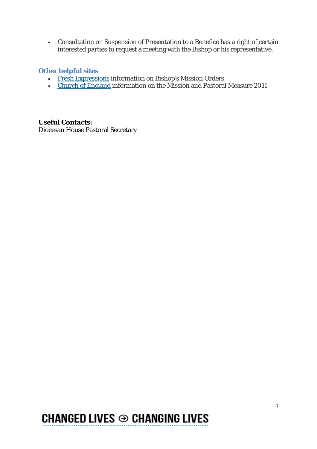• Consultation on Suspension of Presentation to a Benefice has a right of certain interested parties to request a meeting with the Bishop or his representative.

#### **Other helpful sites**

- Fresh [Expressions](http://www.freshexpressions.org.uk/guide/supporting/bmo/) information on Bishop's Mission Orders
- Church of [England](http://www.churchofengland.org/clergy-office-holders/pastoralandclosedchurches.aspx) information on the Mission and Pastoral Measure 2011

**Useful Contacts:** Diocesan House Pastoral Secretary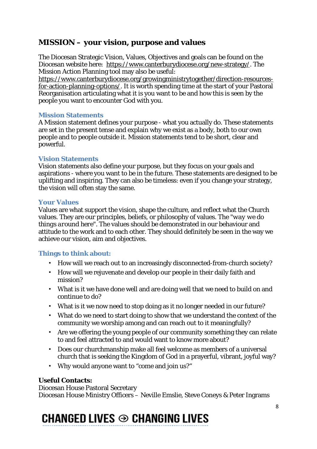### **MISSION – your vision, purpose and values**

The Diocesan Strategic Vision, Values, Objectives and goals can be found on the Diocesan website here: [https://www.canterburydiocese.org/new-strategy/.](https://www.canterburydiocese.org/new-strategy/) The Mission Action Planning tool may also be useful:

[https://www.canterburydiocese.org/growingministrytogether/direction-resources](https://www.canterburydiocese.org/growingministrytogether/direction-resources-for-action-planning-options/)[for-action-planning-options/.](https://www.canterburydiocese.org/growingministrytogether/direction-resources-for-action-planning-options/) It is worth spending time at the start of your Pastoral Reorganisation articulating what it is you want to be and how this is seen by the people you want to encounter God with you.

#### **Mission Statements**

A Mission statement defines your purpose - what you actually do. These statements are set in the present tense and explain why we exist as a body, both to our own people and to people outside it. Mission statements tend to be short, clear and powerful.

#### **Vision Statements**

Vision statements also define your purpose, but they focus on your goals and aspirations - where you want to be in the future. These statements are designed to be uplifting and inspiring. They can also be timeless: even if you change your strategy, the vision will often stay the same.

#### **Your Values**

Values are what support the vision, shape the culture, and reflect what the Church values. They are our principles, beliefs, or philosophy of values. The "*way we do things around here*". The values should be demonstrated in our behaviour and attitude to the work and to each other. They should definitely be seen in the way we achieve our vision, aim and objectives.

#### **Things to think about:**

- How will we reach out to an increasingly disconnected-from-church society?
- How will we rejuvenate and develop our people in their daily faith and mission?
- What is it we have done well and are doing well that we need to build on and continue to do?
- What is it we now need to stop doing as it no longer needed in our future?
- What do we need to start doing to show that we understand the context of the community we worship among and can reach out to it meaningfully?
- Are we offering the young people of our community something they can relate to and feel attracted to and would want to know more about?
- Does our churchmanship make all feel welcome as members of a universal church that is seeking the Kingdom of God in a prayerful, vibrant, joyful way?
- Why would anyone want to "come and join us?"

#### **Useful Contacts:**

Diocesan House Pastoral Secretary Diocesan House Ministry Officers – Neville Emslie, Steve Coneys & Peter Ingrams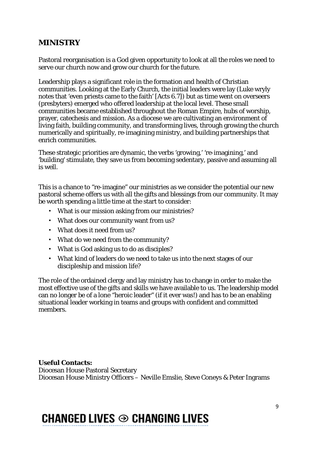### **MINISTRY**

Pastoral reorganisation is a God given opportunity to look at all the roles we need to serve our church now and grow our church for the future.

Leadership plays a significant role in the formation and health of Christian communities. Looking at the Early Church, the initial leaders were lay (Luke wryly notes that 'even priests came to the faith' [Acts 6.7]) but as time went on overseers (presbyters) emerged who offered leadership at the local level. These small communities became established throughout the Roman Empire, hubs of worship, prayer, catechesis and mission. As a diocese we are cultivating an environment of living faith, building community, and transforming lives, through growing the church numerically and spiritually, re-imagining ministry, and building partnerships that enrich communities.

These strategic priorities are dynamic, the verbs 'growing,' 're-imagining,' and 'building' stimulate, they save us from becoming sedentary, passive and assuming all is well.

This is a chance to "re-imagine" our ministries as we consider the potential our new pastoral scheme offers us with all the gifts and blessings from our community. It may be worth spending a little time at the start to consider:

- What is our mission asking from our ministries?
- What does our community want from us?
- What does it need from us?
- What do we need from the community?
- What is God asking us to do as disciples?
- What kind of leaders do we need to take us into the next stages of our discipleship and mission life?

The role of the ordained clergy and lay ministry has to change in order to make the most effective use of the gifts and skills we have available to us. The leadership model can no longer be of a lone "heroic leader" (if it ever was!) and has to be an enabling situational leader working in teams and groups with confident and committed members.

**Useful Contacts:** Diocesan House Pastoral Secretary Diocesan House Ministry Officers – Neville Emslie, Steve Coneys & Peter Ingrams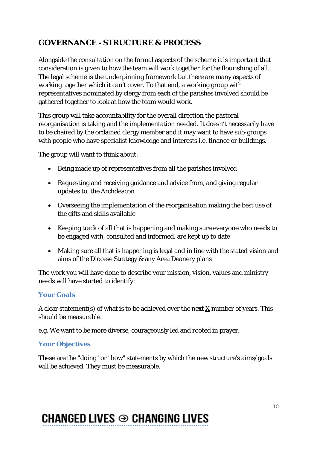### **GOVERNANCE - STRUCTURE & PROCESS**

Alongside the consultation on the formal aspects of the scheme it is important that consideration is given to how the team will work together for the flourishing of all. The legal scheme is the underpinning framework but there are many aspects of working together which it can't cover. To that end, a working group with representatives nominated by clergy from each of the parishes involved should be gathered together to look at how the team would work.

This group will take accountability for the overall direction the pastoral reorganisation is taking and the implementation needed. It doesn't necessarily have to be chaired by the ordained clergy member and it may want to have sub-groups with people who have specialist knowledge and interests i.e. finance or buildings.

The group will want to think about:

- Being made up of representatives from all the parishes involved
- Requesting and receiving guidance and advice from, and giving regular updates to, the Archdeacon
- Overseeing the implementation of the reorganisation making the best use of the gifts and skills available
- Keeping track of all that is happening and making sure everyone who needs to be engaged with, consulted and informed, are kept up to date
- Making sure all that is happening is legal and in line with the stated vision and aims of the Diocese Strategy & any Area Deanery plans

The work you will have done to describe your mission, vision, values and ministry needs will have started to identify:

#### **Your Goals**

A clear statement(s) of what is to be achieved over the next  $\underline{X}$  number of years. This should be measurable.

e.g. We want to be more diverse, courageously led and rooted in prayer.

#### **Your Objectives**

These are the "doing" or "how" statements by which the new structure's aims/goals will be achieved. They must be measurable.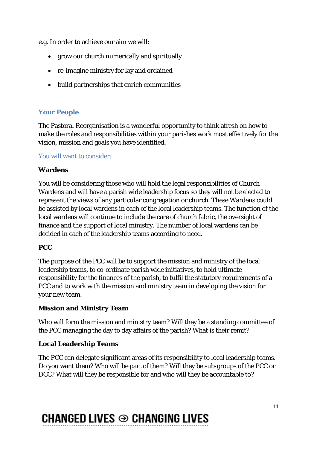e.g. In order to achieve our aim we will:

- grow our church numerically and spiritually
- re-imagine ministry for lay and ordained
- build partnerships that enrich communities

### **Your People**

The Pastoral Reorganisation is a wonderful opportunity to think afresh on how to make the roles and responsibilities within your parishes work most effectively for the vision, mission and goals you have identified.

You will want to consider:

#### **Wardens**

You will be considering those who will hold the legal responsibilities of Church Wardens and will have a parish wide leadership focus so they will not be elected to represent the views of any particular congregation or church. These Wardens could be assisted by local wardens in each of the local leadership teams. The function of the local wardens will continue to include the care of church fabric, the oversight of finance and the support of local ministry. The number of local wardens can be decided in each of the leadership teams according to need.

#### **PCC**

The purpose of the PCC will be to support the mission and ministry of the local leadership teams, to co-ordinate parish wide initiatives, to hold ultimate responsibility for the finances of the parish, to fulfil the statutory requirements of a PCC and to work with the mission and ministry team in developing the vision for your new team.

### **Mission and Ministry Team**

Who will form the mission and ministry team? Will they be a standing committee of the PCC managing the day to day affairs of the parish? What is their remit?

#### **Local Leadership Teams**

The PCC can delegate significant areas of its responsibility to local leadership teams. Do you want them? Who will be part of them? Will they be sub-groups of the PCC or DCC? What will they be responsible for and who will they be accountable to?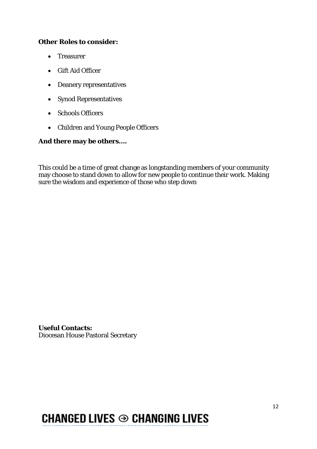#### **Other Roles to consider:**

- Treasurer
- Gift Aid Officer
- Deanery representatives
- Synod Representatives
- Schools Officers
- Children and Young People Officers

#### **And there may be others….**

This could be a time of great change as longstanding members of your community may choose to stand down to allow for new people to continue their work. Making sure the wisdom and experience of those who step down

**Useful Contacts:** Diocesan House Pastoral Secretary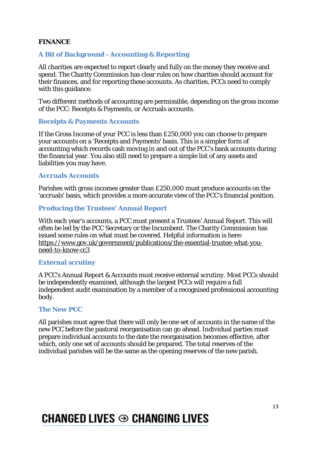#### **FINANCE**

#### **A Bit of Background - Accounting & Reporting**

All charities are expected to report clearly and fully on the money they receive and spend. The Charity Commission has clear rules on how charities should account for their finances, and for reporting these accounts. As charities, PCCs need to comply with this guidance.

Two different methods of accounting are permissible, depending on the gross income of the PCC: Receipts & Payments, or Accruals accounts.

#### **Receipts & Payments Accounts**

If the Gross Income of your PCC is less than £250,000 you can choose to prepare your accounts on a 'Receipts and Payments' basis. This is a simpler form of accounting which records cash moving in and out of the PCC's bank accounts during the financial year. You also still need to prepare a simple list of any assets and liabilities you may have.

#### **Accruals Accounts**

Parishes with gross incomes greater than £250,000 must produce accounts on the 'accruals' basis, which provides a more accurate view of the PCC's financial position.

#### **Producing the Trustees' Annual Report**

With each year's accounts, a PCC must present a Trustees' Annual Report. This will often be led by the PCC Secretary or the Incumbent. The Charity Commission has issued some rules on what must be covered. Helpful information is here: [https://www.gov.uk/government/publications/the-essential-trustee-what-you](https://www.gov.uk/government/publications/the-essential-trustee-what-you-need-to-know-cc3)[need-to-know-cc3](https://www.gov.uk/government/publications/the-essential-trustee-what-you-need-to-know-cc3)

#### **External scrutiny**

A PCC's Annual Report & Accounts must receive external scrutiny. Most PCCs should be independently examined, although the largest PCCs will require a full independent audit examination by a member of a recognised professional accounting body.

#### **The New PCC**

All parishes must agree that there will only be one set of accounts in the name of the new PCC before the pastoral reorganisation can go ahead. Individual parties must prepare individual accounts to the date the reorganisation becomes effective, after which, only one set of accounts should be prepared. The total reserves of the individual parishes will be the same as the opening reserves of the new parish.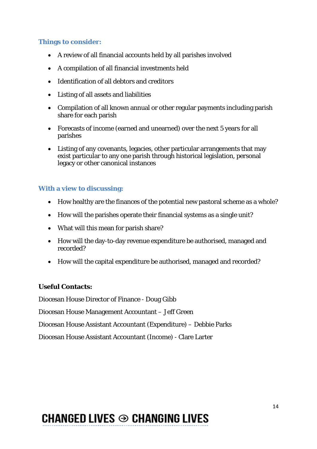#### **Things to consider:**

- A review of all financial accounts held by all parishes involved
- A compilation of all financial investments held
- Identification of all debtors and creditors
- Listing of all assets and liabilities
- Compilation of all known annual or other regular payments including parish share for each parish
- Forecasts of income (earned and unearned) over the next 5 years for all parishes
- Listing of any covenants, legacies, other particular arrangements that may exist particular to any one parish through historical legislation, personal legacy or other canonical instances

### **With a view to discussing:**

- How healthy are the finances of the potential new pastoral scheme as a whole?
- How will the parishes operate their financial systems as a single unit?
- What will this mean for parish share?
- How will the day-to-day revenue expenditure be authorised, managed and recorded?
- How will the capital expenditure be authorised, managed and recorded?

### **Useful Contacts:**

Diocesan House Director of Finance - Doug Gibb

Diocesan House Management Accountant – Jeff Green

Diocesan House Assistant Accountant (Expenditure) – Debbie Parks

Diocesan House Assistant Accountant (Income) - Clare Larter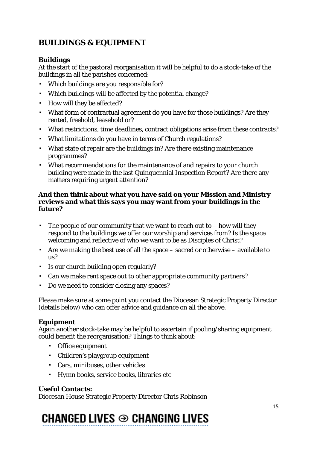### **BUILDINGS & EQUIPMENT**

#### **Buildings**

At the start of the pastoral reorganisation it will be helpful to do a stock-take of the buildings in all the parishes concerned:

- Which buildings are you responsible for?
- Which buildings will be affected by the potential change?
- How will they be affected?
- What form of contractual agreement do you have for those buildings? Are they rented, freehold, leasehold or?
- What restrictions, time deadlines, contract obligations arise from these contracts?
- What limitations do you have in terms of Church regulations?
- What state of repair are the buildings in? Are there existing maintenance programmes?
- What recommendations for the maintenance of and repairs to your church building were made in the last Quinquennial Inspection Report? Are there any matters requiring urgent attention?

#### **And then think about what you have said on your Mission and Ministry reviews and what this says you may want from your buildings in the future?**

- **•** The people of our community that we want to reach out to  $-$  how will they respond to the buildings we offer our worship and services from? Is the space welcoming and reflective of who we want to be as Disciples of Christ?
- Are we making the best use of all the space sacred or otherwise available to us?
- Is our church building open regularly?
- Can we make rent space out to other appropriate community partners?
- Do we need to consider closing any spaces?

Please make sure at some point you contact the Diocesan Strategic Property Director (details below) who can offer advice and guidance on all the above.

#### **Equipment**

Again another stock-take may be helpful to ascertain if pooling/sharing equipment could benefit the reorganisation? Things to think about:

- Office equipment
- Children's playgroup equipment
- Cars, minibuses, other vehicles
- Hymn books, service books, libraries etc

#### **Useful Contacts:**

Diocesan House Strategic Property Director Chris Robinson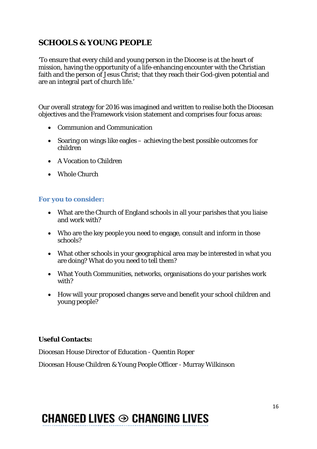### **SCHOOLS & YOUNG PEOPLE**

'To ensure that every child and young person in the Diocese is at the heart of mission, having the opportunity of a life-enhancing encounter with the Christian faith and the person of Jesus Christ; that they reach their God-given potential and are an integral part of church life.'

Our overall strategy for 2016 was imagined and written to realise both the Diocesan objectives and the Framework vision statement and comprises four focus areas:

- Communion and Communication
- Soaring on wings like eagles achieving the best possible outcomes for children
- A Vocation to Children
- Whole Church

#### **For you to consider:**

- What are the Church of England schools in all your parishes that you liaise and work with?
- Who are the key people you need to engage, consult and inform in those schools?
- What other schools in your geographical area may be interested in what you are doing? What do you need to tell them?
- What Youth Communities, networks, organisations do your parishes work with?
- How will your proposed changes serve and benefit your school children and young people?

#### **Useful Contacts:**

Diocesan House Director of Education - Quentin Roper

Diocesan House Children & Young People Officer - Murray Wilkinson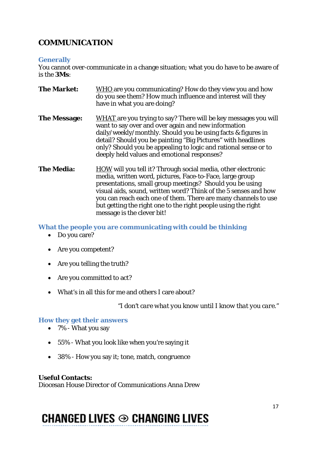### **COMMUNICATION**

#### **Generally**

You cannot over-communicate in a change situation; what you do have to be aware of is the **3Ms**:

- **The Market:** WHO are you communicating? How do they view you and how do you see them? How much influence and interest will they have in what you are doing?
- **The Message:** WHAT are you trying to say? There will be key messages you will want to say over and over again and new information daily/weekly/monthly. Should you be using facts & figures in detail? Should you be painting "Big Pictures" with headlines only? Should you be appealing to logic and rational sense or to deeply held values and emotional responses?
- **The Media:** HOW will you tell it? Through social media, other electronic media, written word, pictures, Face-to-Face, large group presentations, small group meetings? Should you be using visual aids, sound, written word? Think of the 5 senses and how you can reach each one of them. There are many channels to use but getting the right one to the right people using the right message is the clever bit!

**What the people you are communicating with could be thinking**

- Do you care?
- Are you competent?
- Are you telling the truth?
- Are you committed to act?
- What's in all this for me and others I care about?

*"I don't care what you know until I know that you care."*

#### **How they get their answers**

- 7% What you say
- 55% What you look like when you're saying it
- 38% How you say it; tone, match, congruence

#### **Useful Contacts:**

Diocesan House Director of Communications Anna Drew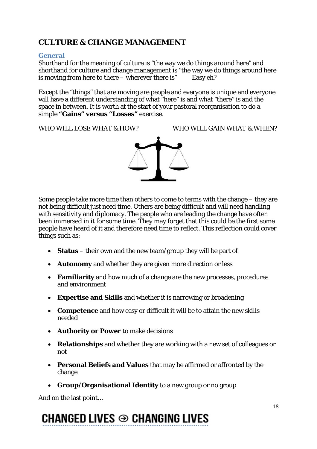### **CULTURE & CHANGE MANAGEMENT**

#### **General**

Shorthand for the meaning of culture is "the way we do things around here" and shorthand for culture and change management is "the way we do things around here is moving from here to there – wherever there is" Easy eh?

Except the "things" that are moving are people and everyone is unique and everyone will have a different understanding of what "here" is and what "there" is and the space in between. It is worth at the start of your pastoral reorganisation to do a simple **"Gains" versus "Losses"** exercise.

WHO WILL LOSE WHAT & HOW? WHO WILL GAIN WHAT & WHEN?



Some people take more time than others to come to terms with the change – they are not being difficult just need time. Others are being difficult and will need handling with sensitivity and diplomacy. The people who are leading the change have often been immersed in it for some time. They may forget that this could be the first some people have heard of it and therefore need time to reflect. This reflection could cover things such as:

- **Status** their own and the new team/group they will be part of
- **Autonomy** and whether they are given more direction or less
- **Familiarity** and how much of a change are the new processes, procedures and environment
- **Expertise and Skills** and whether it is narrowing or broadening
- **Competence** and how easy or difficult it will be to attain the new skills needed
- **Authority or Power** to make decisions
- **Relationships** and whether they are working with a new set of colleagues or not
- **Personal Beliefs and Values** that may be affirmed or affronted by the change
- **Group/Organisational Identity** to a new group or no group

And on the last point…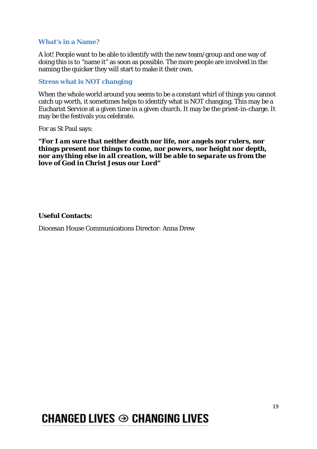#### **What's in a Name?**

A lot! People want to be able to identify with the new team/group and one way of doing this is to "name it" as soon as possible. The more people are involved in the naming the quicker they will start to make it their own.

#### **Stress what is NOT changing**

When the whole world around you seems to be a constant whirl of things you cannot catch up worth, it sometimes helps to identify what is NOT changing. This may be a Eucharist Service at a given time in a given church. It may be the priest-in-charge. It may be the festivals you celebrate.

For as St Paul says:

*"For I am sure that neither death nor life, nor angels nor rulers, nor things present nor things to come, nor powers, nor height nor depth, nor anything else in all creation, will be able to separate us from the love of God in Christ Jesus our Lord"*

#### **Useful Contacts:**

Diocesan House Communications Director: Anna Drew

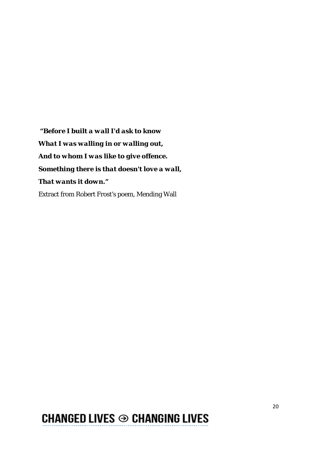*"Before I built a wall I'd ask to know What I was walling in or walling out, And to whom I was like to give offence. Something there is that doesn't love a wall, That wants it down."*

Extract from Robert Frost's poem, Mending Wall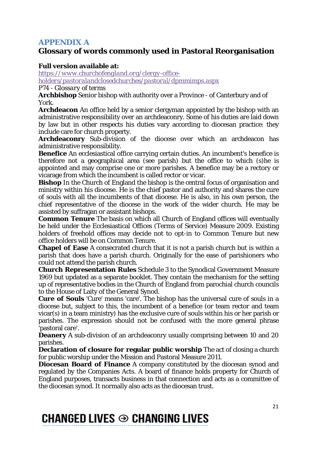### **APPENDIX A**

### **Glossary of words commonly used in Pastoral Reorganisation**

#### **Full version available at:**

*[https://www.churchofengland.org/clergy-office-](https://www.churchofengland.org/clergy-office-holders/pastoralandclosedchurches/pastoral/dpmmimps.aspx)*

*[holders/pastoralandclosedchurches/pastoral/dpmmimps.aspx](https://www.churchofengland.org/clergy-office-holders/pastoralandclosedchurches/pastoral/dpmmimps.aspx)*

#### *P74 - Glossary of terms*

**Archbishop** Senior bishop with authority over a Province - of Canterbury and of York.

**Archdeacon** An office held by a senior clergyman appointed by the bishop with an administrative responsibility over an archdeaconry. Some of his duties are laid down by law but in other respects his duties vary according to diocesan practice: they include care for church property.

**Archdeaconry** Sub-division of the diocese over which an archdeacon has administrative responsibility.

**Benefice** An ecclesiastical office carrying certain duties. An incumbent's benefice is therefore not a geographical area (see parish) but the office to which (s)he is appointed and may comprise one or more parishes. A benefice may be a rectory or vicarage from which the incumbent is called rector or vicar.

**Bishop** In the Church of England the bishop is the central focus of organisation and ministry within his diocese. He is the chief pastor and authority and shares the cure of souls with all the incumbents of that diocese. He is also, in his own person, the chief representative of the diocese in the work of the wider church. He may be assisted by suffragan or assistant bishops.

**Common Tenure** The basis on which all Church of England offices will eventually be held under the Ecclesiastical Offices (Terms of Service) Measure 2009. Existing holders of freehold offices may decide not to opt-in to Common Tenure but new office holders will be on Common Tenure.

**Chapel of Ease** A consecrated church that it is not a parish church but is within a parish that does have a parish church. Originally for the ease of parishioners who could not attend the parish church.

**Church Representation Rules** Schedule 3 to the Synodical Government Measure 1969 but updated as a separate booklet. They contain the mechanism for the setting up of representative bodies in the Church of England from parochial church councils to the House of Laity of the General Synod.

**Cure of Souls** 'Cure' means 'care'. The bishop has the universal cure of souls in a diocese but, subject to this, the incumbent of a benefice (or team rector and team vicar(s) in a team ministry) has the exclusive cure of souls within his or her parish or parishes. The expression should not be confused with the more general phrase 'pastoral care'.

**Deanery** A sub-division of an archdeaconry usually comprising between 10 and 20 parishes.

**Declaration of closure for regular public worship** The act of closing a church for public worship under the Mission and Pastoral Measure 2011.

**Diocesan Board of Finance** A company constituted by the diocesan synod and regulated by the Companies Acts. A board of finance holds property for Church of England purposes, transacts business in that connection and acts as a committee of the diocesan synod. It normally also acts as the diocesan trust.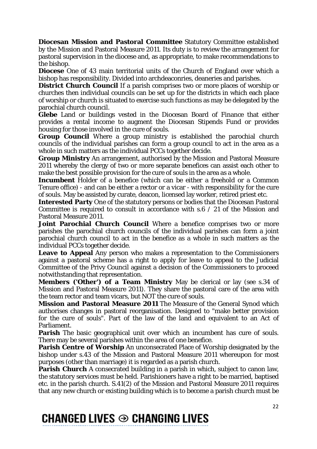**Diocesan Mission and Pastoral Committee** Statutory Committee established by the Mission and Pastoral Measure 2011. Its duty is to review the arrangement for pastoral supervision in the diocese and, as appropriate, to make recommendations to the bishop.

**Diocese** One of 43 main territorial units of the Church of England over which a bishop has responsibility. Divided into archdeaconries, deaneries and parishes.

**District Church Council** If a parish comprises two or more places of worship or churches then individual councils can be set up for the districts in which each place of worship or church is situated to exercise such functions as may be delegated by the parochial church council.

**Glebe** Land or buildings vested in the Diocesan Board of Finance that either provides a rental income to augment the Diocesan Stipends Fund or provides housing for those involved in the cure of souls.

**Group Council** Where a group ministry is established the parochial church councils of the individual parishes can form a group council to act in the area as a whole in such matters as the individual PCCs together decide.

**Group Ministry** An arrangement, authorised by the Mission and Pastoral Measure 2011 whereby the clergy of two or more separate benefices can assist each other to make the best possible provision for the cure of souls in the area as a whole.

**Incumbent** Holder of a benefice (which can be either a freehold or a Common Tenure office) - and can be either a rector or a vicar - with responsibility for the cure of souls. May be assisted by curate, deacon, licensed lay worker, retired priest etc.

**Interested Party** One of the statutory persons or bodies that the Diocesan Pastoral Committee is required to consult in accordance with s.6  $\neq$  21 of the Mission and Pastoral Measure 2011.

**Joint Parochial Church Council** Where a benefice comprises two or more parishes the parochial church councils of the individual parishes can form a joint parochial church council to act in the benefice as a whole in such matters as the individual PCCs together decide.

**Leave to Appeal** Any person who makes a representation to the Commissioners against a pastoral scheme has a right to apply for leave to appeal to the Judicial Committee of the Privy Council against a decision of the Commissioners to proceed notwithstanding that representation.

**Members ('Other') of a Team Ministry** May be clerical or lay (see s.34 of Mission and Pastoral Measure 2011). They share the pastoral care of the area with the team rector and team vicars, but NOT the cure of souls.

**Mission and Pastoral Measure 2011** The Measure of the General Synod which authorises changes in pastoral reorganisation. Designed to "make better provision for the cure of souls". Part of the law of the land and equivalent to an Act of Parliament.

**Parish** The basic geographical unit over which an incumbent has cure of souls. There may be several parishes within the area of one benefice.

**Parish Centre of Worship** An unconsecrated Place of Worship designated by the bishop under s.43 of the Mission and Pastoral Measure 2011 whereupon for most purposes (other than marriage) it is regarded as a parish church.

**Parish Church** A consecrated building in a parish in which, subject to canon law, the statutory services must be held. Parishioners have a right to be married, baptised etc. in the parish church. S.41(2) of the Mission and Pastoral Measure 2011 requires that any new church or existing building which is to become a parish church must be